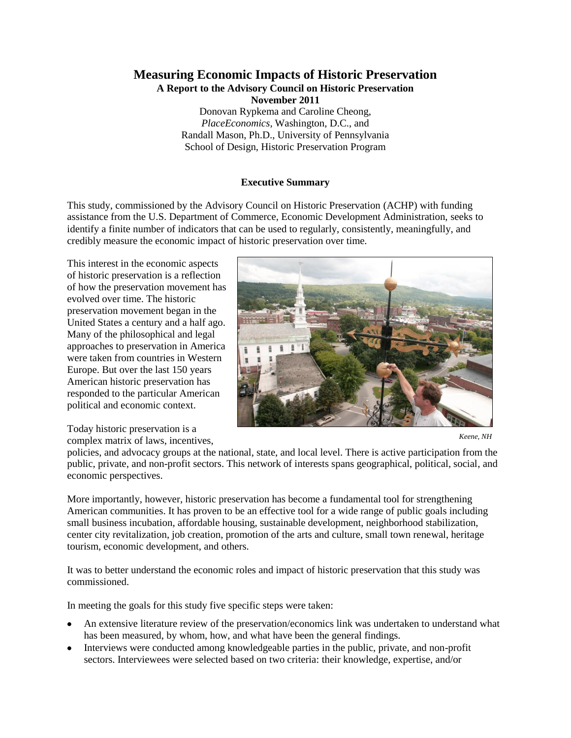## **Measuring Economic Impacts of Historic Preservation A Report to the Advisory Council on Historic Preservation November 2011** Donovan Rypkema and Caroline Cheong, *PlaceEconomics,* Washington, D.C., and Randall Mason, Ph.D., University of Pennsylvania

School of Design, Historic Preservation Program

## **Executive Summary**

This study, commissioned by the Advisory Council on Historic Preservation (ACHP) with funding assistance from the U.S. Department of Commerce, Economic Development Administration, seeks to identify a finite number of indicators that can be used to regularly, consistently, meaningfully, and credibly measure the economic impact of historic preservation over time*.*

This interest in the economic aspects of historic preservation is a reflection of how the preservation movement has evolved over time. The historic preservation movement began in the United States a century and a half ago. Many of the philosophical and legal approaches to preservation in America were taken from countries in Western Europe. But over the last 150 years American historic preservation has responded to the particular American political and economic context.

Today historic preservation is a complex matrix of laws, incentives,



*Keene, NH*

policies, and advocacy groups at the national, state, and local level. There is active participation from the public, private, and non-profit sectors. This network of interests spans geographical, political, social, and economic perspectives.

More importantly, however, historic preservation has become a fundamental tool for strengthening American communities. It has proven to be an effective tool for a wide range of public goals including small business incubation, affordable housing, sustainable development, neighborhood stabilization, center city revitalization, job creation, promotion of the arts and culture, small town renewal, heritage tourism, economic development, and others.

It was to better understand the economic roles and impact of historic preservation that this study was commissioned.

In meeting the goals for this study five specific steps were taken:

- An extensive literature review of the preservation/economics link was undertaken to understand what has been measured, by whom, how, and what have been the general findings.
- Interviews were conducted among knowledgeable parties in the public, private, and non-profit sectors. Interviewees were selected based on two criteria: their knowledge, expertise, and/or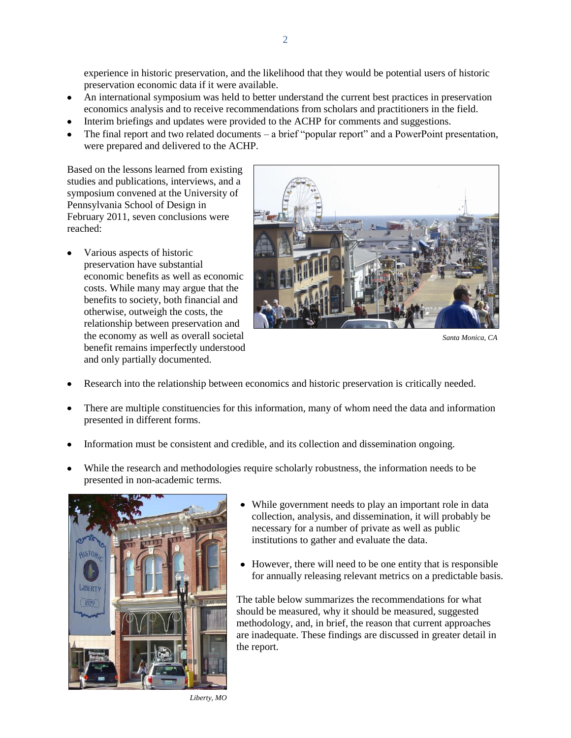experience in historic preservation, and the likelihood that they would be potential users of historic preservation economic data if it were available.

- An international symposium was held to better understand the current best practices in preservation economics analysis and to receive recommendations from scholars and practitioners in the field.
- Interim briefings and updates were provided to the ACHP for comments and suggestions.
- The final report and two related documents a brief "popular report" and a PowerPoint presentation, were prepared and delivered to the ACHP.

Based on the lessons learned from existing studies and publications, interviews, and a symposium convened at the University of Pennsylvania School of Design in February 2011, seven conclusions were reached:

Various aspects of historic preservation have substantial economic benefits as well as economic costs. While many may argue that the benefits to society, both financial and otherwise, outweigh the costs, the relationship between preservation and the economy as well as overall societal benefit remains imperfectly understood and only partially documented.



*Santa Monica, CA*

- Research into the relationship between economics and historic preservation is critically needed.
- There are multiple constituencies for this information, many of whom need the data and information presented in different forms.
- Information must be consistent and credible, and its collection and dissemination ongoing.
- While the research and methodologies require scholarly robustness, the information needs to be presented in non-academic terms.



- While government needs to play an important role in data collection, analysis, and dissemination, it will probably be necessary for a number of private as well as public institutions to gather and evaluate the data.
- However, there will need to be one entity that is responsible  $\bullet$ for annually releasing relevant metrics on a predictable basis.

The table below summarizes the recommendations for what should be measured, why it should be measured, suggested methodology, and, in brief, the reason that current approaches are inadequate. These findings are discussed in greater detail in the report.

*Liberty, MO*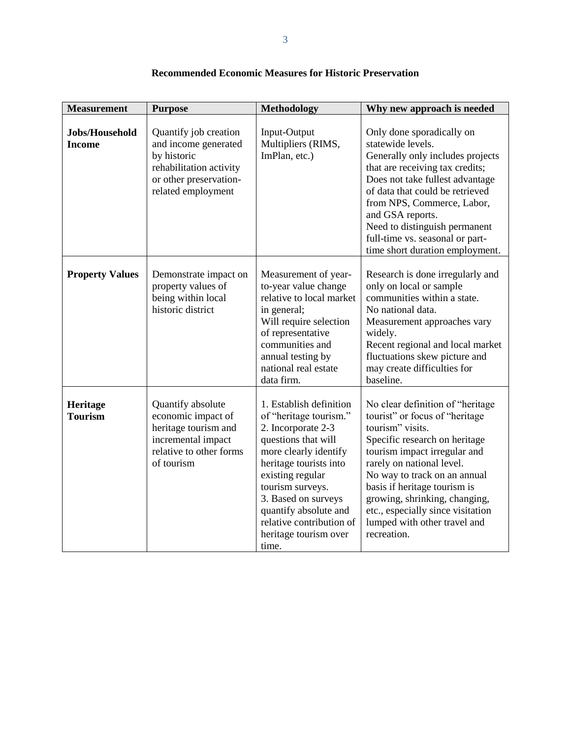| <b>Measurement</b>              | <b>Purpose</b>                                                                                                                          | Methodology                                                                                                                                                                                                                                                                                             | Why new approach is needed                                                                                                                                                                                                                                                                                                                                                 |
|---------------------------------|-----------------------------------------------------------------------------------------------------------------------------------------|---------------------------------------------------------------------------------------------------------------------------------------------------------------------------------------------------------------------------------------------------------------------------------------------------------|----------------------------------------------------------------------------------------------------------------------------------------------------------------------------------------------------------------------------------------------------------------------------------------------------------------------------------------------------------------------------|
| Jobs/Household<br><b>Income</b> | Quantify job creation<br>and income generated<br>by historic<br>rehabilitation activity<br>or other preservation-<br>related employment | Input-Output<br>Multipliers (RIMS,<br>ImPlan, etc.)                                                                                                                                                                                                                                                     | Only done sporadically on<br>statewide levels.<br>Generally only includes projects<br>that are receiving tax credits;<br>Does not take fullest advantage<br>of data that could be retrieved<br>from NPS, Commerce, Labor,<br>and GSA reports.<br>Need to distinguish permanent<br>full-time vs. seasonal or part-<br>time short duration employment.                       |
| <b>Property Values</b>          | Demonstrate impact on<br>property values of<br>being within local<br>historic district                                                  | Measurement of year-<br>to-year value change<br>relative to local market<br>in general;<br>Will require selection<br>of representative<br>communities and<br>annual testing by<br>national real estate<br>data firm.                                                                                    | Research is done irregularly and<br>only on local or sample<br>communities within a state.<br>No national data.<br>Measurement approaches vary<br>widely.<br>Recent regional and local market<br>fluctuations skew picture and<br>may create difficulties for<br>baseline.                                                                                                 |
| Heritage<br><b>Tourism</b>      | Quantify absolute<br>economic impact of<br>heritage tourism and<br>incremental impact<br>relative to other forms<br>of tourism          | 1. Establish definition<br>of "heritage tourism."<br>2. Incorporate 2-3<br>questions that will<br>more clearly identify<br>heritage tourists into<br>existing regular<br>tourism surveys.<br>3. Based on surveys<br>quantify absolute and<br>relative contribution of<br>heritage tourism over<br>time. | No clear definition of "heritage<br>tourist" or focus of "heritage"<br>tourism" visits.<br>Specific research on heritage<br>tourism impact irregular and<br>rarely on national level.<br>No way to track on an annual<br>basis if heritage tourism is<br>growing, shrinking, changing,<br>etc., especially since visitation<br>lumped with other travel and<br>recreation. |

## **Recommended Economic Measures for Historic Preservation**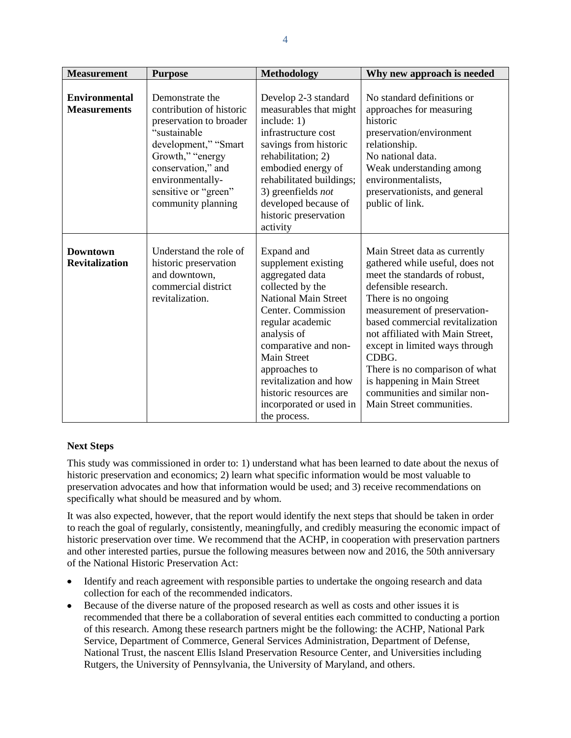| <b>Measurement</b>                          | <b>Purpose</b>                                                                                                                                                                                                             | <b>Methodology</b>                                                                                                                                                                                                                                                                                                             | Why new approach is needed                                                                                                                                                                                                                                                                                                                                                                                                      |
|---------------------------------------------|----------------------------------------------------------------------------------------------------------------------------------------------------------------------------------------------------------------------------|--------------------------------------------------------------------------------------------------------------------------------------------------------------------------------------------------------------------------------------------------------------------------------------------------------------------------------|---------------------------------------------------------------------------------------------------------------------------------------------------------------------------------------------------------------------------------------------------------------------------------------------------------------------------------------------------------------------------------------------------------------------------------|
| <b>Environmental</b><br><b>Measurements</b> | Demonstrate the<br>contribution of historic<br>preservation to broader<br>"sustainable<br>development," "Smart<br>Growth," "energy<br>conservation," and<br>environmentally-<br>sensitive or "green"<br>community planning | Develop 2-3 standard<br>measurables that might<br>include: 1)<br>infrastructure cost<br>savings from historic<br>rehabilitation; 2)<br>embodied energy of<br>rehabilitated buildings;<br>3) greenfields not<br>developed because of<br>historic preservation<br>activity                                                       | No standard definitions or<br>approaches for measuring<br>historic<br>preservation/environment<br>relationship.<br>No national data.<br>Weak understanding among<br>environmentalists.<br>preservationists, and general<br>public of link.                                                                                                                                                                                      |
| <b>Downtown</b><br><b>Revitalization</b>    | Understand the role of<br>historic preservation<br>and downtown,<br>commercial district<br>revitalization.                                                                                                                 | Expand and<br>supplement existing<br>aggregated data<br>collected by the<br><b>National Main Street</b><br>Center. Commission<br>regular academic<br>analysis of<br>comparative and non-<br><b>Main Street</b><br>approaches to<br>revitalization and how<br>historic resources are<br>incorporated or used in<br>the process. | Main Street data as currently<br>gathered while useful, does not<br>meet the standards of robust,<br>defensible research.<br>There is no ongoing<br>measurement of preservation-<br>based commercial revitalization<br>not affiliated with Main Street,<br>except in limited ways through<br>CDBG.<br>There is no comparison of what<br>is happening in Main Street<br>communities and similar non-<br>Main Street communities. |

## **Next Steps**

This study was commissioned in order to: 1) understand what has been learned to date about the nexus of historic preservation and economics; 2) learn what specific information would be most valuable to preservation advocates and how that information would be used; and 3) receive recommendations on specifically what should be measured and by whom.

It was also expected, however, that the report would identify the next steps that should be taken in order to reach the goal of regularly, consistently, meaningfully, and credibly measuring the economic impact of historic preservation over time. We recommend that the ACHP, in cooperation with preservation partners and other interested parties, pursue the following measures between now and 2016, the 50th anniversary of the National Historic Preservation Act:

- Identify and reach agreement with responsible parties to undertake the ongoing research and data collection for each of the recommended indicators.
- Because of the diverse nature of the proposed research as well as costs and other issues it is  $\bullet$ recommended that there be a collaboration of several entities each committed to conducting a portion of this research. Among these research partners might be the following: the ACHP, National Park Service, Department of Commerce, General Services Administration, Department of Defense, National Trust, the nascent Ellis Island Preservation Resource Center, and Universities including Rutgers, the University of Pennsylvania, the University of Maryland, and others.